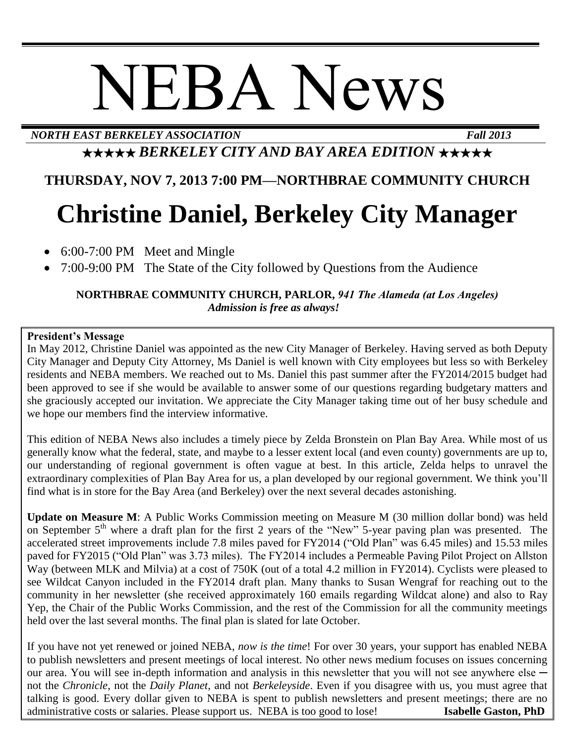# NEBA News

*NORTH EAST BERKELEY ASSOCIATION Fall 2013*

## ★★★★★ *BERKELEY CITY AND BAY AREA EDITION* ★★★★★

### **THURSDAY, NOV 7, 2013 7:00 PM—NORTHBRAE COMMUNITY CHURCH**

# **Christine Daniel, Berkeley City Manager**

- 6:00-7:00 PM Meet and Mingle
- 7:00-9:00 PM The State of the City followed by Questions from the Audience

#### **NORTHBRAE COMMUNITY CHURCH, PARLOR,** *941 The Alameda (at Los Angeles) Admission is free as always!*

#### **President's Message**

In May 2012, Christine Daniel was appointed as the new City Manager of Berkeley. Having served as both Deputy City Manager and Deputy City Attorney, Ms Daniel is well known with City employees but less so with Berkeley residents and NEBA members. We reached out to Ms. Daniel this past summer after the FY2014/2015 budget had been approved to see if she would be available to answer some of our questions regarding budgetary matters and she graciously accepted our invitation. We appreciate the City Manager taking time out of her busy schedule and we hope our members find the interview informative.

This edition of NEBA News also includes a timely piece by Zelda Bronstein on Plan Bay Area. While most of us generally know what the federal, state, and maybe to a lesser extent local (and even county) governments are up to, our understanding of regional government is often vague at best. In this article, Zelda helps to unravel the extraordinary complexities of Plan Bay Area for us, a plan developed by our regional government. We think you'll find what is in store for the Bay Area (and Berkeley) over the next several decades astonishing.

**Update on Measure M**: A Public Works Commission meeting on Measure M (30 million dollar bond) was held on September 5<sup>th</sup> where a draft plan for the first 2 years of the "New" 5-year paving plan was presented. The accelerated street improvements include 7.8 miles paved for FY2014 ("Old Plan" was 6.45 miles) and 15.53 miles paved for FY2015 ("Old Plan" was 3.73 miles). The FY2014 includes a Permeable Paving Pilot Project on Allston Way (between MLK and Milvia) at a cost of 750K (out of a total 4.2 million in FY2014). Cyclists were pleased to see Wildcat Canyon included in the FY2014 draft plan. Many thanks to Susan Wengraf for reaching out to the community in her newsletter (she received approximately 160 emails regarding Wildcat alone) and also to Ray Yep, the Chair of the Public Works Commission, and the rest of the Commission for all the community meetings held over the last several months. The final plan is slated for late October.

If you have not yet renewed or joined NEBA, *now is the time*! For over 30 years, your support has enabled NEBA to publish newsletters and present meetings of local interest. No other news medium focuses on issues concerning our area. You will see in-depth information and analysis in this newsletter that you will not see anywhere else not the *Chronicle*, not the *Daily Planet*, and not *Berkeleyside*. Even if you disagree with us, you must agree that talking is good. Every dollar given to NEBA is spent to publish newsletters and present meetings; there are no administrative costs or salaries. Please support us. NEBA is too good to lose! **Isabelle Gaston, PhD**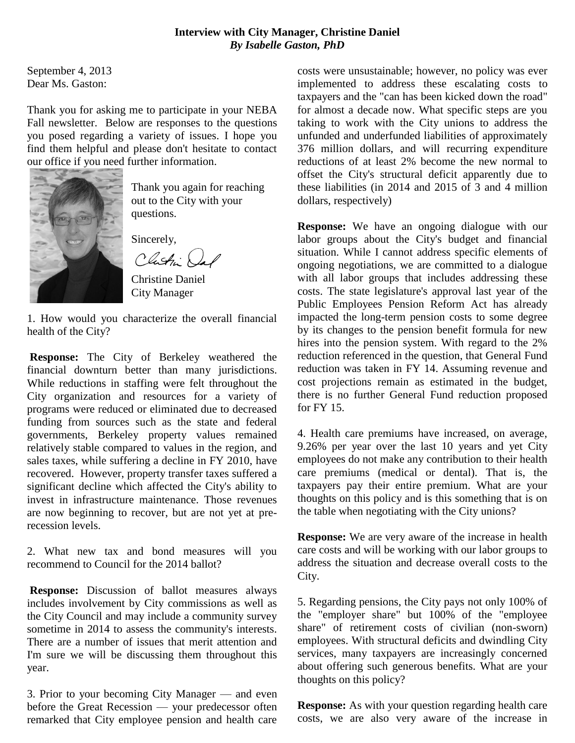#### **Interview with City Manager, Christine Daniel** *By Isabelle Gaston, PhD*

September 4, 2013 Dear Ms. Gaston:

Thank you for asking me to participate in your NEBA Fall newsletter. Below are responses to the questions you posed regarding a variety of issues. I hope you find them helpful and please don't hesitate to contact our office if you need further information.



Thank you again for reaching out to the City with your questions.

Sincerely,

Clash Le

Christine Daniel City Manager

1. How would you characterize the overall financial health of the City?

**Response:** The City of Berkeley weathered the financial downturn better than many jurisdictions. While reductions in staffing were felt throughout the City organization and resources for a variety of programs were reduced or eliminated due to decreased funding from sources such as the state and federal governments, Berkeley property values remained relatively stable compared to values in the region, and sales taxes, while suffering a decline in FY 2010, have recovered. However, property transfer taxes suffered a significant decline which affected the City's ability to invest in infrastructure maintenance. Those revenues are now beginning to recover, but are not yet at prerecession levels.

2. What new tax and bond measures will you recommend to Council for the 2014 ballot?

**Response:** Discussion of ballot measures always includes involvement by City commissions as well as the City Council and may include a community survey sometime in 2014 to assess the community's interests. There are a number of issues that merit attention and I'm sure we will be discussing them throughout this year.

3. Prior to your becoming City Manager — and even before the Great Recession — your predecessor often remarked that City employee pension and health care costs were unsustainable; however, no policy was ever implemented to address these escalating costs to taxpayers and the "can has been kicked down the road" for almost a decade now. What specific steps are you taking to work with the City unions to address the unfunded and underfunded liabilities of approximately 376 million dollars, and will recurring expenditure reductions of at least 2% become the new normal to offset the City's structural deficit apparently due to these liabilities (in 2014 and 2015 of 3 and 4 million dollars, respectively)

**Response:** We have an ongoing dialogue with our labor groups about the City's budget and financial situation. While I cannot address specific elements of ongoing negotiations, we are committed to a dialogue with all labor groups that includes addressing these costs. The state legislature's approval last year of the Public Employees Pension Reform Act has already impacted the long-term pension costs to some degree by its changes to the pension benefit formula for new hires into the pension system. With regard to the 2% reduction referenced in the question, that General Fund reduction was taken in FY 14. Assuming revenue and cost projections remain as estimated in the budget, there is no further General Fund reduction proposed for FY 15.

4. Health care premiums have increased, on average, 9.26% per year over the last 10 years and yet City employees do not make any contribution to their health care premiums (medical or dental). That is, the taxpayers pay their entire premium. What are your thoughts on this policy and is this something that is on the table when negotiating with the City unions?

**Response:** We are very aware of the increase in health care costs and will be working with our labor groups to address the situation and decrease overall costs to the City.

5. Regarding pensions, the City pays not only 100% of the "employer share" but 100% of the "employee share" of retirement costs of civilian (non-sworn) employees. With structural deficits and dwindling City services, many taxpayers are increasingly concerned about offering such generous benefits. What are your thoughts on this policy?

**Response:** As with your question regarding health care costs, we are also very aware of the increase in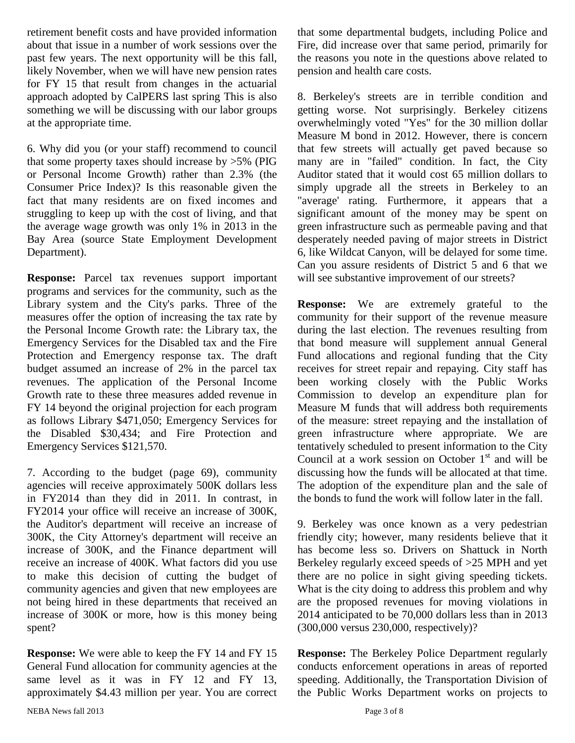retirement benefit costs and have provided information about that issue in a number of work sessions over the past few years. The next opportunity will be this fall, likely November, when we will have new pension rates for FY 15 that result from changes in the actuarial approach adopted by CalPERS last spring This is also something we will be discussing with our labor groups at the appropriate time.

6. Why did you (or your staff) recommend to council that some property taxes should increase by  $>5\%$  (PIG or Personal Income Growth) rather than 2.3% (the Consumer Price Index)? Is this reasonable given the fact that many residents are on fixed incomes and struggling to keep up with the cost of living, and that the average wage growth was only 1% in 2013 in the Bay Area (source State Employment Development Department).

**Response:** Parcel tax revenues support important programs and services for the community, such as the Library system and the City's parks. Three of the measures offer the option of increasing the tax rate by the Personal Income Growth rate: the Library tax, the Emergency Services for the Disabled tax and the Fire Protection and Emergency response tax. The draft budget assumed an increase of 2% in the parcel tax revenues. The application of the Personal Income Growth rate to these three measures added revenue in FY 14 beyond the original projection for each program as follows Library \$471,050; Emergency Services for the Disabled \$30,434; and Fire Protection and Emergency Services \$121,570.

7. According to the budget (page 69), community agencies will receive approximately 500K dollars less in FY2014 than they did in 2011. In contrast, in FY2014 your office will receive an increase of 300K, the Auditor's department will receive an increase of 300K, the City Attorney's department will receive an increase of 300K, and the Finance department will receive an increase of 400K. What factors did you use to make this decision of cutting the budget of community agencies and given that new employees are not being hired in these departments that received an increase of 300K or more, how is this money being spent?

**Response:** We were able to keep the FY 14 and FY 15 General Fund allocation for community agencies at the same level as it was in FY 12 and FY 13, approximately \$4.43 million per year. You are correct that some departmental budgets, including Police and Fire, did increase over that same period, primarily for the reasons you note in the questions above related to pension and health care costs.

8. Berkeley's streets are in terrible condition and getting worse. Not surprisingly. Berkeley citizens overwhelmingly voted "Yes" for the 30 million dollar Measure M bond in 2012. However, there is concern that few streets will actually get paved because so many are in "failed" condition. In fact, the City Auditor stated that it would cost 65 million dollars to simply upgrade all the streets in Berkeley to an "average' rating. Furthermore, it appears that a significant amount of the money may be spent on green infrastructure such as permeable paving and that desperately needed paving of major streets in District 6, like Wildcat Canyon, will be delayed for some time. Can you assure residents of District 5 and 6 that we will see substantive improvement of our streets?

**Response:** We are extremely grateful to the community for their support of the revenue measure during the last election. The revenues resulting from that bond measure will supplement annual General Fund allocations and regional funding that the City receives for street repair and repaying. City staff has been working closely with the Public Works Commission to develop an expenditure plan for Measure M funds that will address both requirements of the measure: street repaying and the installation of green infrastructure where appropriate. We are tentatively scheduled to present information to the City Council at a work session on October  $1<sup>st</sup>$  and will be discussing how the funds will be allocated at that time. The adoption of the expenditure plan and the sale of the bonds to fund the work will follow later in the fall.

9. Berkeley was once known as a very pedestrian friendly city; however, many residents believe that it has become less so. Drivers on Shattuck in North Berkeley regularly exceed speeds of >25 MPH and yet there are no police in sight giving speeding tickets. What is the city doing to address this problem and why are the proposed revenues for moving violations in 2014 anticipated to be 70,000 dollars less than in 2013 (300,000 versus 230,000, respectively)?

**Response:** The Berkeley Police Department regularly conducts enforcement operations in areas of reported speeding. Additionally, the Transportation Division of the Public Works Department works on projects to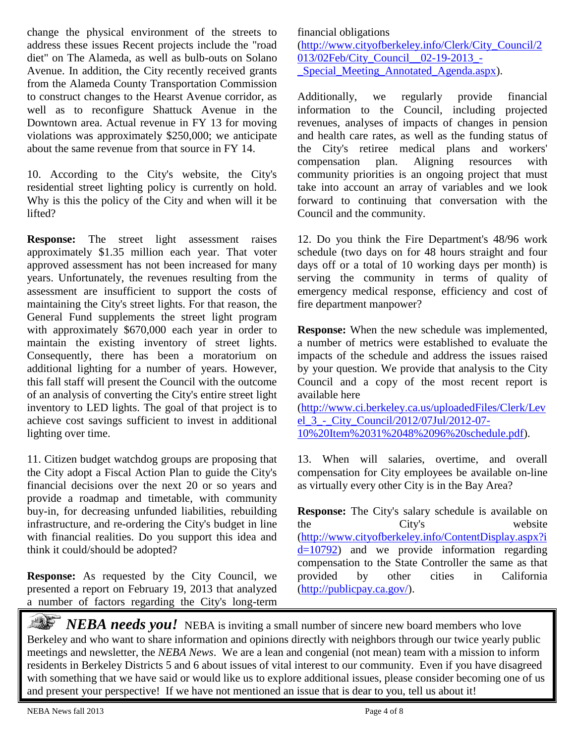change the physical environment of the streets to address these issues Recent projects include the "road diet" on The Alameda, as well as bulb-outs on Solano Avenue. In addition, the City recently received grants from the Alameda County Transportation Commission to construct changes to the Hearst Avenue corridor, as well as to reconfigure Shattuck Avenue in the Downtown area. Actual revenue in FY 13 for moving violations was approximately \$250,000; we anticipate about the same revenue from that source in FY 14.

10. According to the City's website, the City's residential street lighting policy is currently on hold. Why is this the policy of the City and when will it be lifted?

**Response:** The street light assessment raises approximately \$1.35 million each year. That voter approved assessment has not been increased for many years. Unfortunately, the revenues resulting from the assessment are insufficient to support the costs of maintaining the City's street lights. For that reason, the General Fund supplements the street light program with approximately \$670,000 each year in order to maintain the existing inventory of street lights. Consequently, there has been a moratorium on additional lighting for a number of years. However, this fall staff will present the Council with the outcome of an analysis of converting the City's entire street light inventory to LED lights. The goal of that project is to achieve cost savings sufficient to invest in additional lighting over time.

11. Citizen budget watchdog groups are proposing that the City adopt a Fiscal Action Plan to guide the City's financial decisions over the next 20 or so years and provide a roadmap and timetable, with community buy-in, for decreasing unfunded liabilities, rebuilding infrastructure, and re-ordering the City's budget in line with financial realities. Do you support this idea and think it could/should be adopted?

**Response:** As requested by the City Council, we presented a report on February 19, 2013 that analyzed a number of factors regarding the City's long-term financial obligations [\(http://www.cityofberkeley.info/Clerk/City\\_Council/2](http://www.cityofberkeley.info/Clerk/City_Council/2013/02Feb/City_Council__02-19-2013_-_Special_Meeting_Annotated_Agenda.aspx) 013/02Feb/City Council 02-19-2013 -Special Meeting Annotated Agenda.aspx).

Additionally, we regularly provide financial information to the Council, including projected revenues, analyses of impacts of changes in pension and health care rates, as well as the funding status of the City's retiree medical plans and workers' compensation plan. Aligning resources with community priorities is an ongoing project that must take into account an array of variables and we look forward to continuing that conversation with the Council and the community.

12. Do you think the Fire Department's 48/96 work schedule (two days on for 48 hours straight and four days off or a total of 10 working days per month) is serving the community in terms of quality of emergency medical response, efficiency and cost of fire department manpower?

**Response:** When the new schedule was implemented, a number of metrics were established to evaluate the impacts of the schedule and address the issues raised by your question. We provide that analysis to the City Council and a copy of the most recent report is available here

[\(http://www.ci.berkeley.ca.us/uploadedFiles/Clerk/Lev](http://www.ci.berkeley.ca.us/uploadedFiles/Clerk/Level_3_-_City_Council/2012/07Jul/2012-07-10%20Item%2031%2048%2096%20schedule.pdf) [el\\_3\\_-\\_City\\_Council/2012/07Jul/2012-07-](http://www.ci.berkeley.ca.us/uploadedFiles/Clerk/Level_3_-_City_Council/2012/07Jul/2012-07-10%20Item%2031%2048%2096%20schedule.pdf) [10%20Item%2031%2048%2096%20schedule.pdf\)](http://www.ci.berkeley.ca.us/uploadedFiles/Clerk/Level_3_-_City_Council/2012/07Jul/2012-07-10%20Item%2031%2048%2096%20schedule.pdf).

13. When will salaries, overtime, and overall compensation for City employees be available on-line as virtually every other City is in the Bay Area?

**Response:** The City's salary schedule is available on the City's website [\(http://www.cityofberkeley.info/ContentDisplay.aspx?i](http://www.cityofberkeley.info/ContentDisplay.aspx?id=10792)  $d=10792$ ) and we provide information regarding compensation to the State Controller the same as that provided by other cities in California [\(http://publicpay.ca.gov/\)](http://publicpay.ca.gov/).

*NEBA needs you!* NEBA is inviting a small number of sincere new board members who love Berkeley and who want to share information and opinions directly with neighbors through our twice yearly public meetings and newsletter, the *NEBA News*. We are a lean and congenial (not mean) team with a mission to inform residents in Berkeley Districts 5 and 6 about issues of vital interest to our community. Even if you have disagreed with something that we have said or would like us to explore additional issues, please consider becoming one of us and present your perspective! If we have not mentioned an issue that is dear to you, tell us about it!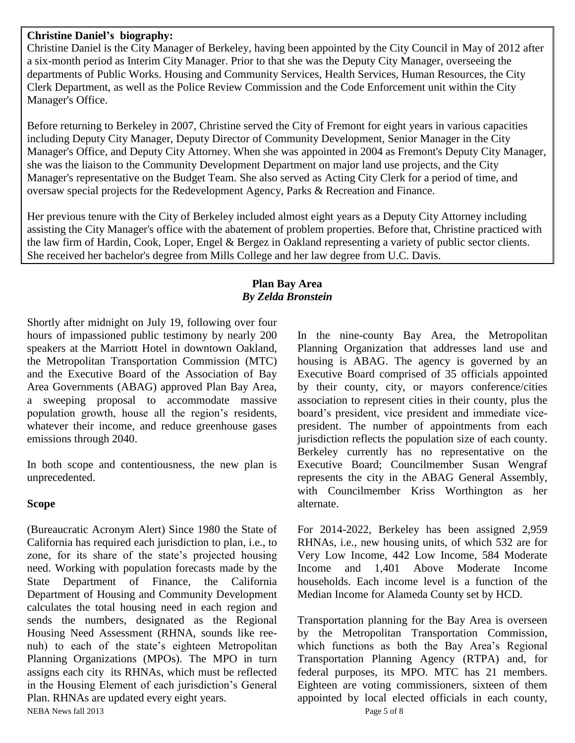#### **Christine Daniel's biography:**

Christine Daniel is the City Manager of Berkeley, having been appointed by the City Council in May of 2012 after a six-month period as Interim City Manager. Prior to that she was the Deputy City Manager, overseeing the departments of Public Works. Housing and Community Services, Health Services, Human Resources, the City Clerk Department, as well as the Police Review Commission and the Code Enforcement unit within the City Manager's Office.

Before returning to Berkeley in 2007, Christine served the City of Fremont for eight years in various capacities including Deputy City Manager, Deputy Director of Community Development, Senior Manager in the City Manager's Office, and Deputy City Attorney. When she was appointed in 2004 as Fremont's Deputy City Manager, she was the liaison to the Community Development Department on major land use projects, and the City Manager's representative on the Budget Team. She also served as Acting City Clerk for a period of time, and oversaw special projects for the Redevelopment Agency, Parks & Recreation and Finance.

Her previous tenure with the City of Berkeley included almost eight years as a Deputy City Attorney including assisting the City Manager's office with the abatement of problem properties. Before that, Christine practiced with the law firm of Hardin, Cook, Loper, Engel & Bergez in Oakland representing a variety of public sector clients. She received her bachelor's degree from Mills College and her law degree from U.C. Davis.

#### **Plan Bay Area** *By Zelda Bronstein*

Shortly after midnight on July 19, following over four hours of impassioned public testimony by nearly 200 speakers at the Marriott Hotel in downtown Oakland, the Metropolitan Transportation Commission (MTC) and the Executive Board of the Association of Bay Area Governments (ABAG) approved Plan Bay Area, a sweeping proposal to accommodate massive population growth, house all the region's residents, whatever their income, and reduce greenhouse gases emissions through 2040.

In both scope and contentiousness, the new plan is unprecedented.

#### **Scope**

NEBA News fall 2013 Page 5 of 8 (Bureaucratic Acronym Alert) Since 1980 the State of California has required each jurisdiction to plan, i.e., to zone, for its share of the state's projected housing need. Working with population forecasts made by the State Department of Finance, the California Department of Housing and Community Development calculates the total housing need in each region and sends the numbers, designated as the Regional Housing Need Assessment (RHNA, sounds like reenuh) to each of the state's eighteen Metropolitan Planning Organizations (MPOs). The MPO in turn assigns each city its RHNAs, which must be reflected in the Housing Element of each jurisdiction's General Plan. RHNAs are updated every eight years.

In the nine-county Bay Area, the Metropolitan Planning Organization that addresses land use and housing is ABAG. The agency is governed by an Executive Board comprised of 35 officials appointed by their county, city, or mayors conference/cities association to represent cities in their county, plus the board's president, vice president and immediate vicepresident. The number of appointments from each jurisdiction reflects the population size of each county. Berkeley currently has no representative on the Executive Board; Councilmember Susan Wengraf represents the city in the ABAG General Assembly, with Councilmember Kriss Worthington as her alternate.

For 2014-2022, Berkeley has been assigned 2,959 RHNAs, i.e., new housing units, of which 532 are for Very Low Income, 442 Low Income, 584 Moderate Income and 1,401 Above Moderate Income households. Each income level is a function of the Median Income for Alameda County set by HCD.

Transportation planning for the Bay Area is overseen by the Metropolitan Transportation Commission, which functions as both the Bay Area's Regional Transportation Planning Agency (RTPA) and, for federal purposes, its MPO. MTC has 21 members. Eighteen are voting commissioners, sixteen of them appointed by local elected officials in each county,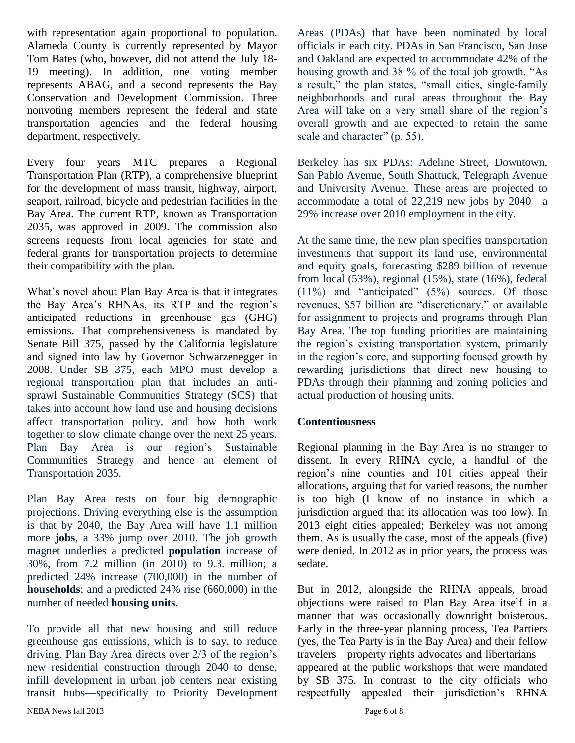with representation again proportional to population. Alameda County is currently represented by Mayor Tom Bates (who, however, did not attend the July 18- 19 meeting). In addition, one voting member represents ABAG, and a second represents the Bay Conservation and Development Commission. Three nonvoting members represent the federal and state transportation agencies and the federal housing department, respectively.

Every four years MTC prepares a Regional Transportation Plan (RTP), a comprehensive blueprint for the development of mass transit, highway, airport, seaport, railroad, bicycle and pedestrian facilities in the Bay Area. The current RTP, known as Transportation 2035, was approved in 2009. The commission also screens requests from local agencies for state and federal grants for transportation projects to determine their compatibility with the plan.

What's novel about Plan Bay Area is that it integrates the Bay Area's RHNAs, its RTP and the region's anticipated reductions in greenhouse gas (GHG) emissions. That comprehensiveness is mandated by Senate Bill 375, passed by the California legislature and signed into law by Governor Schwarzenegger in 2008. Under SB 375, each MPO must develop a regional transportation plan that includes an antisprawl Sustainable Communities Strategy (SCS) that takes into account how land use and housing decisions affect transportation policy, and how both work together to slow climate change over the next 25 years. Plan Bay Area is our region's Sustainable Communities Strategy and hence an element of Transportation 2035.

Plan Bay Area rests on four big demographic projections. Driving everything else is the assumption is that by 2040, the Bay Area will have 1.1 million more **jobs**, a 33% jump over 2010. The job growth magnet underlies a predicted **population** increase of 30%, from 7.2 million (in 2010) to 9.3. million; a predicted 24% increase (700,000) in the number of **households**; and a predicted 24% rise (660,000) in the number of needed **housing units**.

To provide all that new housing and still reduce greenhouse gas emissions, which is to say, to reduce driving, Plan Bay Area directs over 2/3 of the region's new residential construction through 2040 to dense, infill development in urban job centers near existing transit hubs—specifically to Priority Development Areas (PDAs) that have been nominated by local officials in each city. PDAs in San Francisco, San Jose and Oakland are expected to accommodate 42% of the housing growth and 38 % of the total job growth. "As a result," the plan states, "small cities, single-family neighborhoods and rural areas throughout the Bay Area will take on a very small share of the region's overall growth and are expected to retain the same scale and character" (p. 55).

Berkeley has six PDAs: Adeline Street, Downtown, San Pablo Avenue, South Shattuck, Telegraph Avenue and University Avenue. These areas are projected to accommodate a total of 22,219 new jobs by 2040—a 29% increase over 2010 employment in the city.

At the same time, the new plan specifies transportation investments that support its land use, environmental and equity goals, forecasting \$289 billion of revenue from local (53%), regional (15%), state (16%), federal (11%) and "anticipated" (5%) sources. Of those revenues, \$57 billion are "discretionary," or available for assignment to projects and programs through Plan Bay Area. The top funding priorities are maintaining the region's existing transportation system, primarily in the region's core, and supporting focused growth by rewarding jurisdictions that direct new housing to PDAs through their planning and zoning policies and actual production of housing units.

#### **Contentiousness**

Regional planning in the Bay Area is no stranger to dissent. In every RHNA cycle, a handful of the region's nine counties and 101 cities appeal their allocations, arguing that for varied reasons, the number is too high (I know of no instance in which a jurisdiction argued that its allocation was too low). In 2013 eight cities appealed; Berkeley was not among them. As is usually the case, most of the appeals (five) were denied. In 2012 as in prior years, the process was sedate.

But in 2012, alongside the RHNA appeals, broad objections were raised to Plan Bay Area itself in a manner that was occasionally downright boisterous. Early in the three-year planning process, Tea Partiers (yes, the Tea Party is in the Bay Area) and their fellow travelers—property rights advocates and libertarians appeared at the public workshops that were mandated by SB 375. In contrast to the city officials who respectfully appealed their jurisdiction's RHNA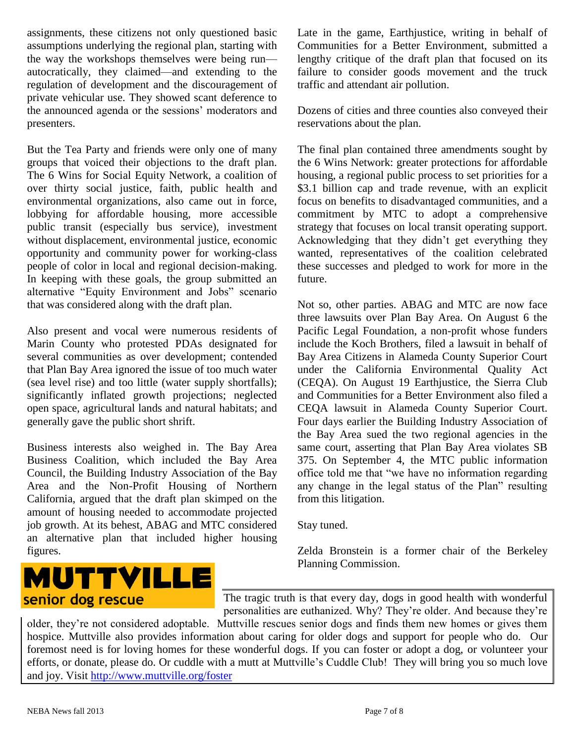assignments, these citizens not only questioned basic assumptions underlying the regional plan, starting with the way the workshops themselves were being run autocratically, they claimed—and extending to the regulation of development and the discouragement of private vehicular use. They showed scant deference to the announced agenda or the sessions' moderators and presenters.

But the Tea Party and friends were only one of many groups that voiced their objections to the draft plan. The 6 Wins for Social Equity Network, a coalition of over thirty social justice, faith, public health and environmental organizations, also came out in force, lobbying for affordable housing, more accessible public transit (especially bus service), investment without displacement, environmental justice, economic opportunity and community power for working-class people of color in local and regional decision-making. In keeping with these goals, the group submitted an alternative "Equity Environment and Jobs" scenario that was considered along with the draft plan.

Also present and vocal were numerous residents of Marin County who protested PDAs designated for several communities as over development; contended that Plan Bay Area ignored the issue of too much water (sea level rise) and too little (water supply shortfalls); significantly inflated growth projections; neglected open space, agricultural lands and natural habitats; and generally gave the public short shrift.

Business interests also weighed in. The Bay Area Business Coalition, which included the Bay Area Council, the Building Industry Association of the Bay Area and the Non-Profit Housing of Northern California, argued that the draft plan skimped on the amount of housing needed to accommodate projected job growth. At its behest, ABAG and MTC considered an alternative plan that included higher housing figures.

# **MUTTVILLE** senior dog rescue

Late in the game, Earthjustice, writing in behalf of Communities for a Better Environment, submitted a lengthy critique of the draft plan that focused on its failure to consider goods movement and the truck traffic and attendant air pollution.

Dozens of cities and three counties also conveyed their reservations about the plan.

The final plan contained three amendments sought by the 6 Wins Network: greater protections for affordable housing, a regional public process to set priorities for a \$3.1 billion cap and trade revenue, with an explicit focus on benefits to disadvantaged communities, and a commitment by MTC to adopt a comprehensive strategy that focuses on local transit operating support. Acknowledging that they didn't get everything they wanted, representatives of the coalition celebrated these successes and pledged to work for more in the future.

Not so, other parties. ABAG and MTC are now face three lawsuits over Plan Bay Area. On August 6 the Pacific Legal Foundation, a non-profit whose funders include the Koch Brothers, filed a lawsuit in behalf of Bay Area Citizens in Alameda County Superior Court under the California Environmental Quality Act (CEQA). On August 19 Earthjustice, the Sierra Club and Communities for a Better Environment also filed a CEQA lawsuit in Alameda County Superior Court. Four days earlier the Building Industry Association of the Bay Area sued the two regional agencies in the same court, asserting that Plan Bay Area violates SB 375. On September 4, the MTC public information office told me that "we have no information regarding any change in the legal status of the Plan" resulting from this litigation.

Stay tuned.

Zelda Bronstein is a former chair of the Berkeley Planning Commission.

The tragic truth is that every day, dogs in good health with wonderful personalities are euthanized. Why? They're older. And because they're

older, they're not considered adoptable. Muttville rescues senior dogs and finds them new homes or gives them hospice. Muttville also provides information about caring for older dogs and support for people who do. Our foremost need is for loving homes for these wonderful dogs. If you can foster or adopt a dog, or volunteer your efforts, or donate, please do. Or cuddle with a mutt at Muttville's Cuddle Club! They will bring you so much love and joy. Visit<http://www.muttville.org/foster>